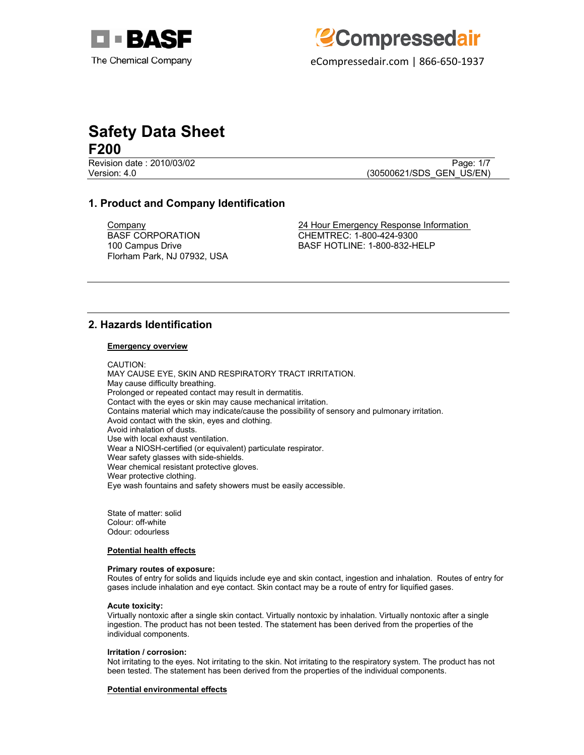eCompressedair.com | 866-650-1937